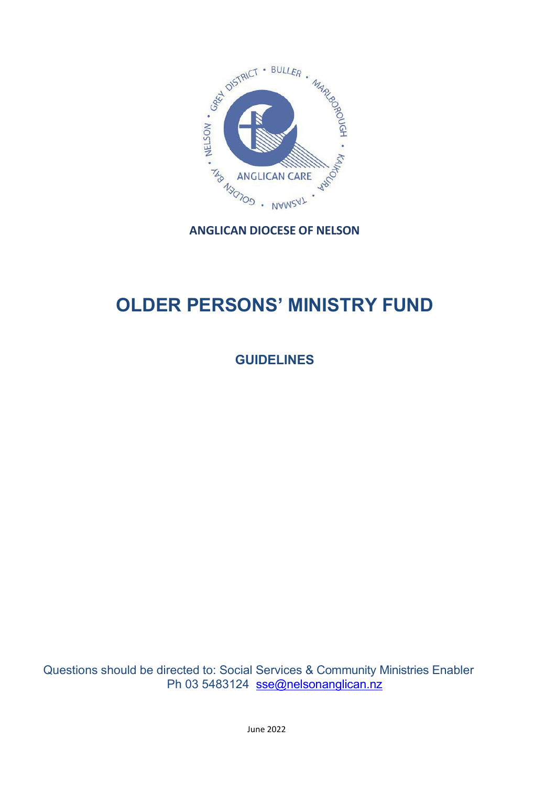

# **OLDER PERSONS' MINISTRY FUND**

**GUIDELINES**

Questions should be directed to: Social Services & Community Ministries Enabler Ph 03 5483124 [sse@nelsonanglican.nz](mailto:sse@nelsonanglican.nz)

June 2022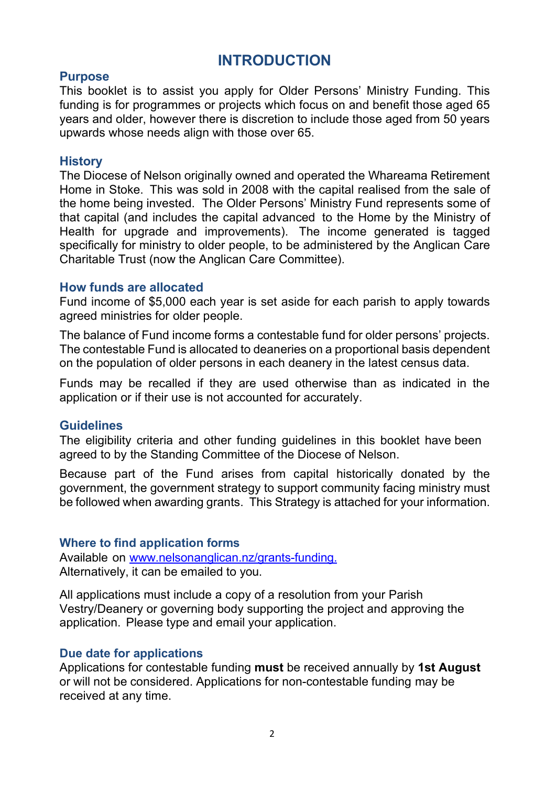## **INTRODUCTION**

### **Purpose**

This booklet is to assist you apply for Older Persons' Ministry Funding. This funding is for programmes or projects which focus on and benefit those aged 65 years and older, however there is discretion to include those aged from 50 years upwards whose needs align with those over 65.

#### **History**

The Diocese of Nelson originally owned and operated the Whareama Retirement Home in Stoke. This was sold in 2008 with the capital realised from the sale of the home being invested. The Older Persons' Ministry Fund represents some of that capital (and includes the capital advanced to the Home by the Ministry of Health for upgrade and improvements). The income generated is tagged specifically for ministry to older people, to be administered by the Anglican Care Charitable Trust (now the Anglican Care Committee).

### **How funds are allocated**

Fund income of \$5,000 each year is set aside for each parish to apply towards agreed ministries for older people.

The balance of Fund income forms a contestable fund for older persons' projects. The contestable Fund is allocated to deaneries on a proportional basis dependent on the population of older persons in each deanery in the latest census data.

Funds may be recalled if they are used otherwise than as indicated in the application or if their use is not accounted for accurately.

## **Guidelines**

The eligibility criteria and other funding guidelines in this booklet have been agreed to by the Standing Committee of the Diocese of Nelson.

Because part of the Fund arises from capital historically donated by the government, the government strategy to support community facing ministry must be followed when awarding grants. This Strategy is attached for your information.

## **Where to find application forms**

Available on [www.nelsonanglican.nz/grants-funding.](http://www.nelsonanglican.nz/grants-funding.) Alternatively, it can be emailed to you.

All applications must include a copy of a resolution from your Parish Vestry/Deanery or governing body supporting the project and approving the application. Please type and email your application.

#### **Due date for applications**

Applications for contestable funding **must** be received annually by **1st August** or will not be considered. Applications for non-contestable funding may be received at any time.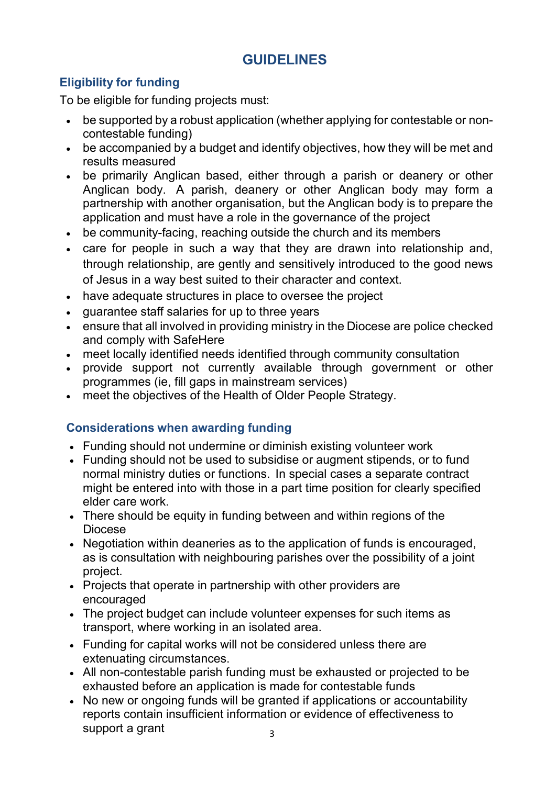## **GUIDELINES**

## **Eligibility for funding**

To be eligible for funding projects must:

- be supported by a robust application (whether applying for contestable or noncontestable funding)
- be accompanied by a budget and identify objectives, how they will be met and results measured
- be primarily Anglican based, either through a parish or deanery or other Anglican body. A parish, deanery or other Anglican body may form a partnership with another organisation, but the Anglican body is to prepare the application and must have a role in the governance of the project
- be community-facing, reaching outside the church and its members
- care for people in such a way that they are drawn into relationship and, through relationship, are gently and sensitively introduced to the good news of Jesus in a way best suited to their character and context.
- have adequate structures in place to oversee the project
- guarantee staff salaries for up to three years
- ensure that all involved in providing ministry in the Diocese are police checked and comply with SafeHere
- meet locally identified needs identified through community consultation
- provide support not currently available through government or other programmes (ie, fill gaps in mainstream services)
- meet the objectives of the Health of Older People Strategy.

## **Considerations when awarding funding**

- Funding should not undermine or diminish existing volunteer work
- Funding should not be used to subsidise or augment stipends, or to fund normal ministry duties or functions. In special cases a separate contract might be entered into with those in a part time position for clearly specified elder care work.
- There should be equity in funding between and within regions of the Diocese
- Negotiation within deaneries as to the application of funds is encouraged, as is consultation with neighbouring parishes over the possibility of a joint project.
- Projects that operate in partnership with other providers are encouraged
- The project budget can include volunteer expenses for such items as transport, where working in an isolated area.
- Funding for capital works will not be considered unless there are extenuating circumstances.
- All non-contestable parish funding must be exhausted or projected to be exhausted before an application is made for contestable funds
- No new or ongoing funds will be granted if applications or accountability reports contain insufficient information or evidence of effectiveness to support a grant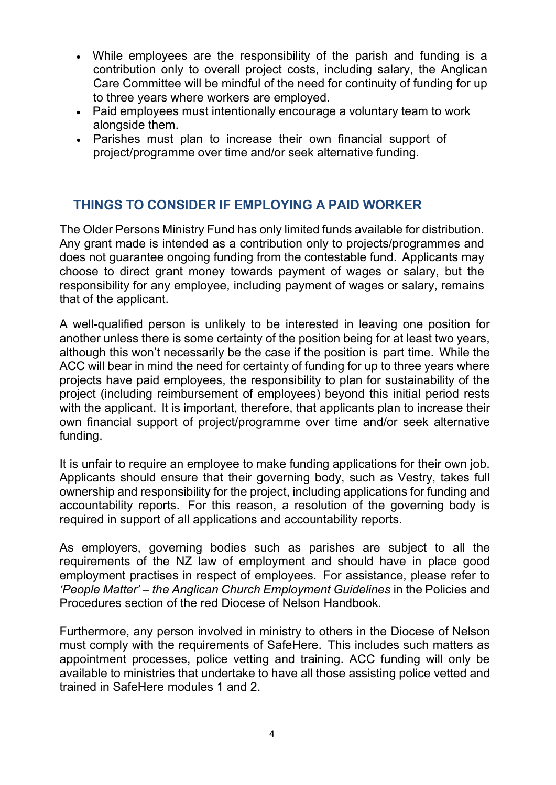- While employees are the responsibility of the parish and funding is a contribution only to overall project costs, including salary, the Anglican Care Committee will be mindful of the need for continuity of funding for up to three years where workers are employed.
- Paid employees must intentionally encourage a voluntary team to work alongside them.
- Parishes must plan to increase their own financial support of project/programme over time and/or seek alternative funding.

## **THINGS TO CONSIDER IF EMPLOYING A PAID WORKER**

The Older Persons Ministry Fund has only limited funds available for distribution. Any grant made is intended as a contribution only to projects/programmes and does not guarantee ongoing funding from the contestable fund. Applicants may choose to direct grant money towards payment of wages or salary, but the responsibility for any employee, including payment of wages or salary, remains that of the applicant.

A well-qualified person is unlikely to be interested in leaving one position for another unless there is some certainty of the position being for at least two years, although this won't necessarily be the case if the position is part time. While the ACC will bear in mind the need for certainty of funding for up to three years where projects have paid employees, the responsibility to plan for sustainability of the project (including reimbursement of employees) beyond this initial period rests with the applicant. It is important, therefore, that applicants plan to increase their own financial support of project/programme over time and/or seek alternative funding.

It is unfair to require an employee to make funding applications for their own job. Applicants should ensure that their governing body, such as Vestry, takes full ownership and responsibility for the project, including applications for funding and accountability reports. For this reason, a resolution of the governing body is required in support of all applications and accountability reports.

As employers, governing bodies such as parishes are subject to all the requirements of the NZ law of employment and should have in place good employment practises in respect of employees. For assistance, please refer to *'People Matter' – the Anglican Church Employment Guidelines* in the Policies and Procedures section of the red Diocese of Nelson Handbook.

Furthermore, any person involved in ministry to others in the Diocese of Nelson must comply with the requirements of SafeHere. This includes such matters as appointment processes, police vetting and training. ACC funding will only be available to ministries that undertake to have all those assisting police vetted and trained in SafeHere modules 1 and 2.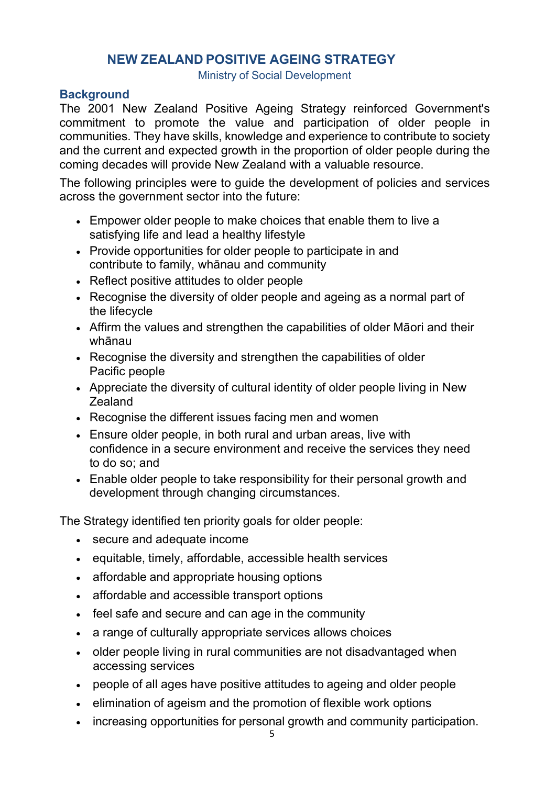## **NEW ZEALAND POSITIVE AGEING STRATEGY**

Ministry of Social Development

## **Background**

The 2001 New Zealand Positive Ageing Strategy reinforced Government's commitment to promote the value and participation of older people in communities. They have skills, knowledge and experience to contribute to society and the current and expected growth in the proportion of older people during the coming decades will provide New Zealand with a valuable resource.

The following principles were to guide the development of policies and services across the government sector into the future:

- Empower older people to make choices that enable them to live a satisfying life and lead a healthy lifestyle
- Provide opportunities for older people to participate in and contribute to family, whānau and community
- Reflect positive attitudes to older people
- Recognise the diversity of older people and ageing as a normal part of the lifecycle
- Affirm the values and strengthen the capabilities of older Māori and their whānau
- Recognise the diversity and strengthen the capabilities of older Pacific people
- Appreciate the diversity of cultural identity of older people living in New Zealand
- Recognise the different issues facing men and women
- Ensure older people, in both rural and urban areas, live with confidence in a secure environment and receive the services they need to do so; and
- Enable older people to take responsibility for their personal growth and development through changing circumstances.

The Strategy identified ten priority goals for older people:

- secure and adequate income
- equitable, timely, affordable, accessible health services
- affordable and appropriate housing options
- affordable and accessible transport options
- feel safe and secure and can age in the community
- a range of culturally appropriate services allows choices
- older people living in rural communities are not disadvantaged when accessing services
- people of all ages have positive attitudes to ageing and older people
- elimination of ageism and the promotion of flexible work options
- increasing opportunities for personal growth and community participation.